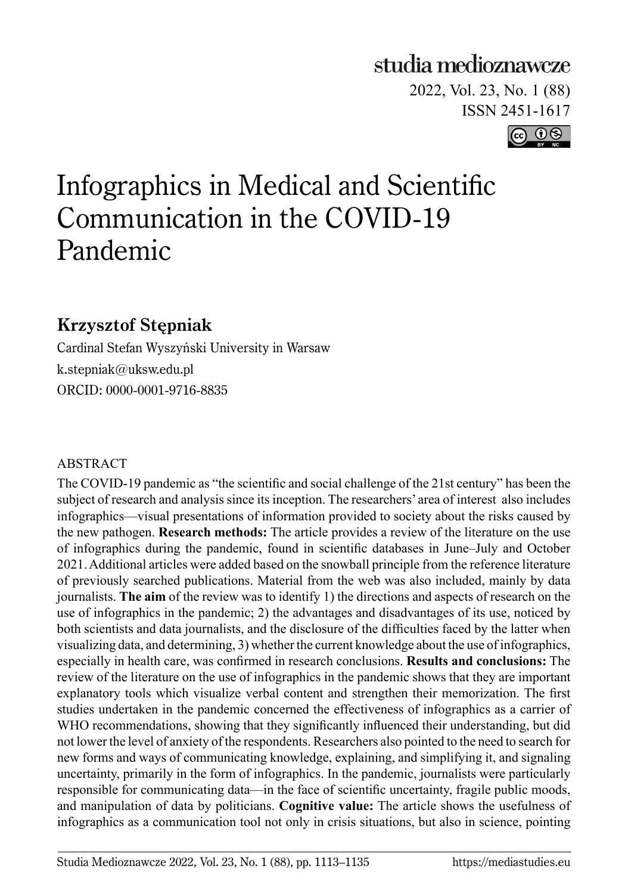## studia medioznawcze

2022, Vol. 23, No. 1 (88) ISSN 2451-1617



# Infographics in Medical and Scientific Communication in the COVID-19 Pandemic

## **Krzysztof Stępniak**

Cardinal Stefan Wyszyński University in Warsaw k.stepniak@uksw.edu.pl ORCID: 0000-0001-9716-8835

### ABSTRACT

The COVID-19 pandemic as "the scientific and social challenge of the 21st century" has been the subject of research and analysis since its inception. The researchers' area of interest also includes infographics––visual presentations of information provided to society about the risks caused by the new pathogen. **Research methods:** The article provides a review of the literature on the use of infographics during the pandemic, found in scientific databases in June–July and October 2021. Additional articles were added based on the snowball principle from the reference literature of previously searched publications. Material from the web was also included, mainly by data journalists. **The aim** of the review was to identify 1) the directions and aspects of research on the use of infographics in the pandemic; 2) the advantages and disadvantages of its use, noticed by both scientists and data journalists, and the disclosure of the difficulties faced by the latter when visualizing data, and determining, 3) whether the current knowledge about the use of infographics, especially in health care, was confirmed in research conclusions. **Results and conclusions:** The review of the literature on the use of infographics in the pandemic shows that they are important explanatory tools which visualize verbal content and strengthen their memorization. The first studies undertaken in the pandemic concerned the effectiveness of infographics as a carrier of WHO recommendations, showing that they significantly influenced their understanding, but did not lower the level of anxiety of the respondents. Researchers also pointed to the need to search for new forms and ways of communicating knowledge, explaining, and simplifying it, and signaling uncertainty, primarily in the form of infographics. In the pandemic, journalists were particularly responsible for communicating data—in the face of scientific uncertainty, fragile public moods, and manipulation of data by politicians. **Cognitive value:** The article shows the usefulness of infographics as a communication tool not only in crisis situations, but also in science, pointing